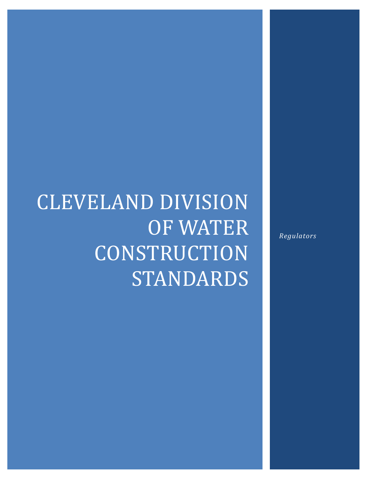# CLEVELAND DIVISION OF WATER **CONSTRUCTION** STANDARDS

*Regulators*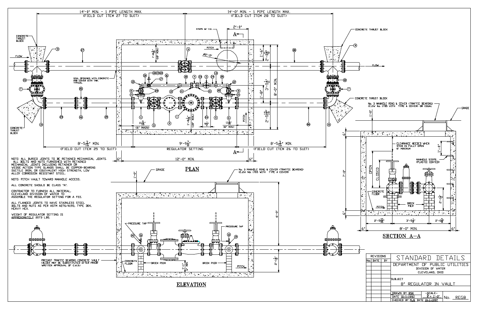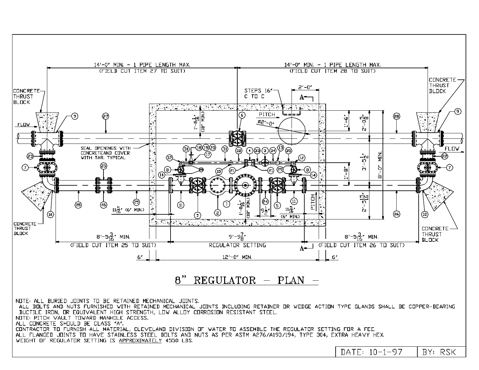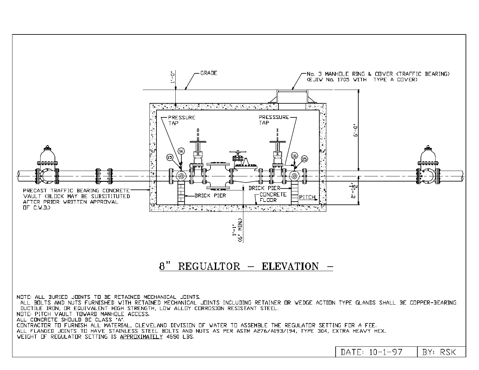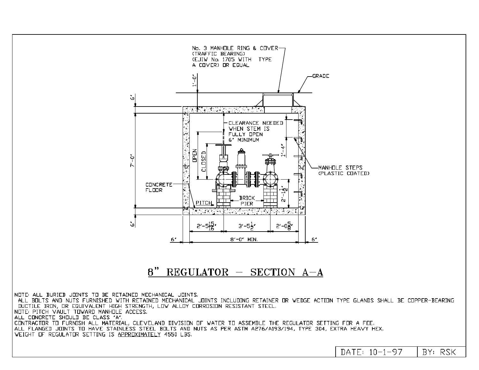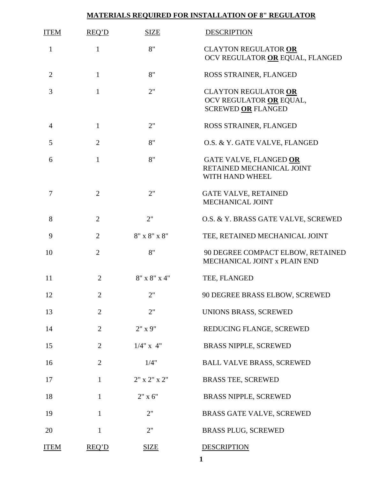## **MATERIALS REQUIRED FOR INSTALLATION OF 8" REGULATOR**

| <b>ITEM</b>    | <b>REQ'D</b>   | <b>SIZE</b>        | <b>DESCRIPTION</b>                                                                  |
|----------------|----------------|--------------------|-------------------------------------------------------------------------------------|
| $\mathbf{1}$   | $\mathbf{1}$   | 8"                 | <b>CLAYTON REGULATOR OR</b><br>OCV REGULATOR OR EQUAL, FLANGED                      |
| $\overline{2}$ | $\mathbf{1}$   | 8"                 | ROSS STRAINER, FLANGED                                                              |
| 3              | $\mathbf{1}$   | 2"                 | <b>CLAYTON REGULATOR OR</b><br>OCV REGULATOR OR EQUAL,<br><b>SCREWED OR FLANGED</b> |
| 4              | $\mathbf{1}$   | 2"                 | ROSS STRAINER, FLANGED                                                              |
| 5              | $\overline{2}$ | 8"                 | O.S. & Y. GATE VALVE, FLANGED                                                       |
| 6              | $\mathbf{1}$   | 8"                 | GATE VALVE, FLANGED OR<br>RETAINED MECHANICAL JOINT<br>WITH HAND WHEEL              |
| 7              | $\overline{2}$ | 2"                 | <b>GATE VALVE, RETAINED</b><br>MECHANICAL JOINT                                     |
| 8              | $\overline{2}$ | 2"                 | O.S. & Y. BRASS GATE VALVE, SCREWED                                                 |
| 9              | $\overline{2}$ | $8"$ x $8"$ x $8"$ | TEE, RETAINED MECHANICAL JOINT                                                      |
| 10             | $\overline{2}$ | 8"                 | 90 DEGREE COMPACT ELBOW, RETAINED<br>MECHANICAL JOINT x PLAIN END                   |
| 11             | $\overline{2}$ | $8"$ x $8"$ x $4"$ | TEE, FLANGED                                                                        |
| 12             | $\overline{c}$ | 2"                 | 90 DEGREE BRASS ELBOW, SCREWED                                                      |
| 13             | $\overline{2}$ | 2"                 | UNIONS BRASS, SCREWED                                                               |
| 14             | $\overline{2}$ | 2" x 9"            | REDUCING FLANGE, SCREWED                                                            |
| 15             | $\overline{2}$ | $1/4$ " x 4"       | <b>BRASS NIPPLE, SCREWED</b>                                                        |
| 16             | $\overline{2}$ | 1/4"               | <b>BALL VALVE BRASS, SCREWED</b>                                                    |
| 17             | $\mathbf{1}$   | $2"$ x $2"$ x $2"$ | <b>BRASS TEE, SCREWED</b>                                                           |
| 18             | 1              | $2" \times 6"$     | <b>BRASS NIPPLE, SCREWED</b>                                                        |
| 19             | 1              | 2"                 | <b>BRASS GATE VALVE, SCREWED</b>                                                    |
| 20             | 1              | 2"                 | <b>BRASS PLUG, SCREWED</b>                                                          |
| <b>ITEM</b>    | REQ'D          | <b>SIZE</b>        | <b>DESCRIPTION</b>                                                                  |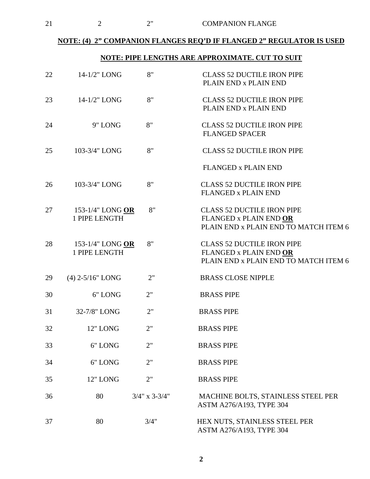## **NOTE: (4) 2" COMPANION FLANGES REQ'D IF FLANGED 2" REGULATOR IS USED**

## **NOTE: PIPE LENGTHS ARE APPROXIMATE. CUT TO SUIT**

| 22 | 14-1/2" LONG                      | 8"                  | <b>CLASS 52 DUCTILE IRON PIPE</b><br>PLAIN END x PLAIN END                                           |
|----|-----------------------------------|---------------------|------------------------------------------------------------------------------------------------------|
| 23 | 14-1/2" LONG                      | 8"                  | <b>CLASS 52 DUCTILE IRON PIPE</b><br>PLAIN END x PLAIN END                                           |
| 24 | 9" LONG                           | 8"                  | <b>CLASS 52 DUCTILE IRON PIPE</b><br><b>FLANGED SPACER</b>                                           |
| 25 | 103-3/4" LONG                     | 8"                  | <b>CLASS 52 DUCTILE IRON PIPE</b>                                                                    |
|    |                                   |                     | <b>FLANGED x PLAIN END</b>                                                                           |
| 26 | 103-3/4" LONG                     | 8"                  | <b>CLASS 52 DUCTILE IRON PIPE</b><br><b>FLANGED x PLAIN END</b>                                      |
| 27 | 153-1/4" LONG OR<br>1 PIPE LENGTH | 8"                  | <b>CLASS 52 DUCTILE IRON PIPE</b><br>FLANGED x PLAIN END OR<br>PLAIN END x PLAIN END TO MATCH ITEM 6 |
| 28 | 153-1/4" LONG OR<br>1 PIPE LENGTH | 8"                  | <b>CLASS 52 DUCTILE IRON PIPE</b><br>FLANGED x PLAIN END OR<br>PLAIN END x PLAIN END TO MATCH ITEM 6 |
| 29 | $(4)$ 2-5/16" LONG                | 2"                  | <b>BRASS CLOSE NIPPLE</b>                                                                            |
| 30 | 6" LONG                           | 2"                  | <b>BRASS PIPE</b>                                                                                    |
| 31 | 32-7/8" LONG                      | 2"                  | <b>BRASS PIPE</b>                                                                                    |
| 32 | 12" LONG                          | 2"                  | <b>BRASS PIPE</b>                                                                                    |
| 33 | 6" LONG                           | 2"                  | <b>BRASS PIPE</b>                                                                                    |
| 34 | 6" LONG                           | 2"                  | <b>BRASS PIPE</b>                                                                                    |
| 35 | 12" LONG                          | 2"                  | <b>BRASS PIPE</b>                                                                                    |
| 36 | 80                                | $3/4$ " x $3-3/4$ " | MACHINE BOLTS, STAINLESS STEEL PER<br>ASTM A276/A193, TYPE 304                                       |
| 37 | 80                                | 3/4"                | HEX NUTS, STAINLESS STEEL PER<br>ASTM A276/A193, TYPE 304                                            |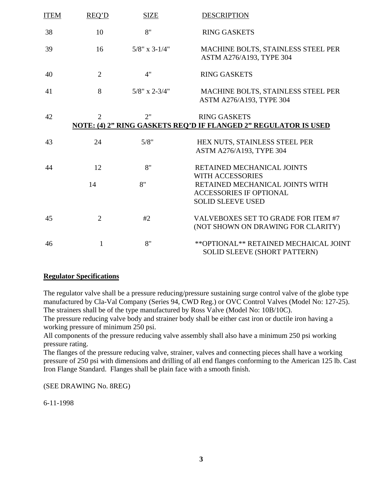| <b>ITEM</b> | REO'D          | <b>SIZE</b>      | <b>DESCRIPTION</b>                                                                            |
|-------------|----------------|------------------|-----------------------------------------------------------------------------------------------|
| 38          | 10             | 8"               | <b>RING GASKETS</b>                                                                           |
| 39          | 16             | $5/8$ " x 3-1/4" | MACHINE BOLTS, STAINLESS STEEL PER<br>ASTM A276/A193, TYPE 304                                |
| 40          | $\overline{2}$ | 4"               | <b>RING GASKETS</b>                                                                           |
| 41          | 8              | $5/8$ " x 2-3/4" | MACHINE BOLTS, STAINLESS STEEL PER<br>ASTM A276/A193, TYPE 304                                |
| 42          | 2              | 2"               | <b>RING GASKETS</b><br><b>NOTE: (4) 2" RING GASKETS REQ'D IF FLANGED 2" REGULATOR IS USED</b> |
| 43          | 24             | 5/8"             | HEX NUTS, STAINLESS STEEL PER<br>ASTM A276/A193, TYPE 304                                     |
| 44          | 12             | 8"               | RETAINED MECHANICAL JOINTS<br><b>WITH ACCESSORIES</b>                                         |
|             | 14             | 8"               | RETAINED MECHANICAL JOINTS WITH<br><b>ACCESSORIES IF OPTIONAL</b><br><b>SOLID SLEEVE USED</b> |
| 45          | $\overline{2}$ | #2               | VALVEBOXES SET TO GRADE FOR ITEM #7<br>(NOT SHOWN ON DRAWING FOR CLARITY)                     |
| 46          | 1              | 8"               | ** OPTIONAL ** RETAINED MECHAICAL JOINT<br>SOLID SLEEVE (SHORT PATTERN)                       |

#### **Regulator Specifications**

The regulator valve shall be a pressure reducing/pressure sustaining surge control valve of the globe type manufactured by Cla-Val Company (Series 94, CWD Reg.) or OVC Control Valves (Model No: 127-25). The strainers shall be of the type manufactured by Ross Valve (Model No: 10B/10C).

The pressure reducing valve body and strainer body shall be either cast iron or ductile iron having a working pressure of minimum 250 psi.

All components of the pressure reducing valve assembly shall also have a minimum 250 psi working pressure rating.

The flanges of the pressure reducing valve, strainer, valves and connecting pieces shall have a working pressure of 250 psi with dimensions and drilling of all end flanges conforming to the American 125 lb. Cast Iron Flange Standard. Flanges shall be plain face with a smooth finish.

(SEE DRAWING No. 8REG)

6-11-1998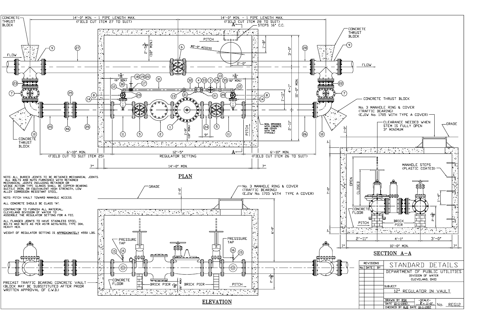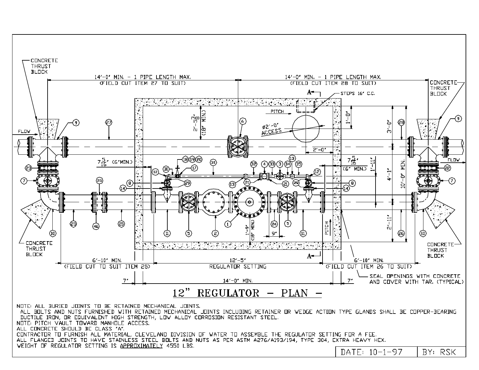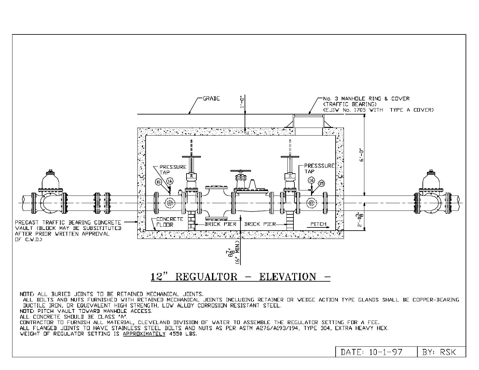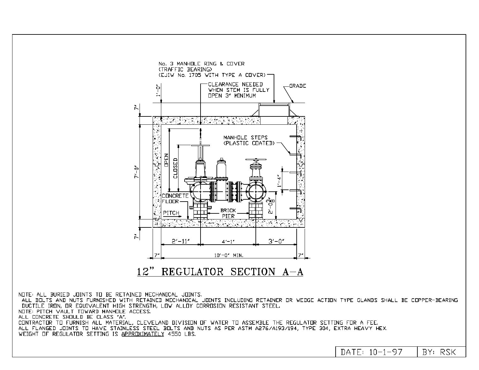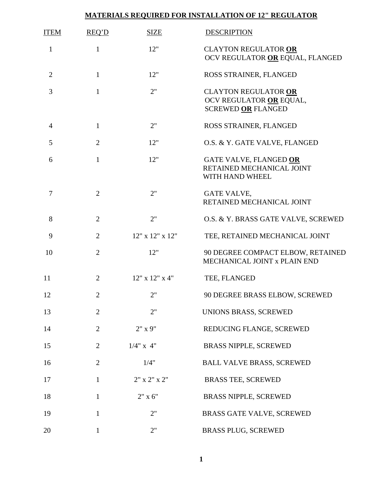# **MATERIALS REQUIRED FOR INSTALLATION OF 12" REGULATOR**

| <b>ITEM</b>    | REQ'D          | <b>SIZE</b>        | <b>DESCRIPTION</b>                                                                  |
|----------------|----------------|--------------------|-------------------------------------------------------------------------------------|
| $\mathbf{1}$   | $\mathbf{1}$   | 12"                | <b>CLAYTON REGULATOR OR</b><br>OCV REGULATOR OR EQUAL, FLANGED                      |
| $\overline{2}$ | $\mathbf{1}$   | 12"                | ROSS STRAINER, FLANGED                                                              |
| 3              | $\mathbf{1}$   | 2"                 | <b>CLAYTON REGULATOR OR</b><br>OCV REGULATOR OR EQUAL,<br><b>SCREWED OR FLANGED</b> |
| $\overline{4}$ | $\mathbf{1}$   | 2"                 | ROSS STRAINER, FLANGED                                                              |
| 5              | $\overline{2}$ | 12"                | O.S. & Y. GATE VALVE, FLANGED                                                       |
| 6              | $\mathbf{1}$   | 12"                | GATE VALVE, FLANGED OR<br>RETAINED MECHANICAL JOINT<br>WITH HAND WHEEL              |
| 7              | $\overline{2}$ | 2"                 | <b>GATE VALVE,</b><br>RETAINED MECHANICAL JOINT                                     |
| 8              | $\overline{2}$ | 2"                 | O.S. & Y. BRASS GATE VALVE, SCREWED                                                 |
| 9              | $\overline{2}$ | 12" x 12" x 12"    | TEE, RETAINED MECHANICAL JOINT                                                      |
| 10             | $\overline{2}$ | 12"                | 90 DEGREE COMPACT ELBOW, RETAINED<br>MECHANICAL JOINT x PLAIN END                   |
| 11             | $\overline{2}$ | 12" x 12" x 4"     | TEE, FLANGED                                                                        |
| 12             | $\overline{2}$ | 2"                 | 90 DEGREE BRASS ELBOW, SCREWED                                                      |
| 13             | $\overline{2}$ | 2"                 | UNIONS BRASS, SCREWED                                                               |
| 14             | $\overline{2}$ | 2" x 9"            | REDUCING FLANGE, SCREWED                                                            |
| 15             | $\overline{2}$ | $1/4$ " x 4"       | <b>BRASS NIPPLE, SCREWED</b>                                                        |
| 16             | $\overline{2}$ | 1/4"               | <b>BALL VALVE BRASS, SCREWED</b>                                                    |
| 17             | $\mathbf{1}$   | $2"$ x $2"$ x $2"$ | <b>BRASS TEE, SCREWED</b>                                                           |
| 18             | 1              | $2"$ x 6"          | <b>BRASS NIPPLE, SCREWED</b>                                                        |
| 19             | $\mathbf{1}$   | 2"                 | BRASS GATE VALVE, SCREWED                                                           |
| 20             | $\mathbf{1}$   | 2"                 | <b>BRASS PLUG, SCREWED</b>                                                          |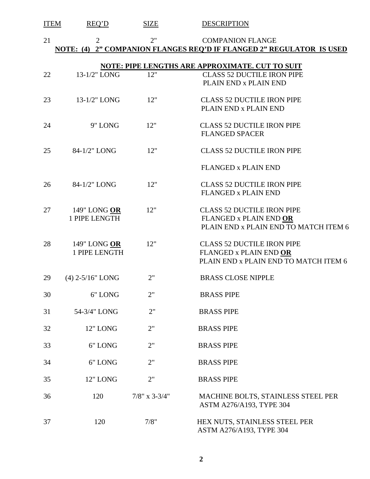| <b>ITEM</b> | REQ'D                         | <b>SIZE</b>      | <b>DESCRIPTION</b>                                                                                   |
|-------------|-------------------------------|------------------|------------------------------------------------------------------------------------------------------|
| 21          | $\overline{2}$                | 2"               | <b>COMPANION FLANGE</b><br>NOTE: (4) 2" COMPANION FLANGES REO'D IF FLANGED 2" REGULATOR IS USED      |
|             |                               |                  | NOTE: PIPE LENGTHS ARE APPROXIMATE. CUT TO SUIT                                                      |
| 22          | 13-1/2" LONG                  | 12"              | <b>CLASS 52 DUCTILE IRON PIPE</b><br>PLAIN END x PLAIN END                                           |
| 23          | 13-1/2" LONG                  | 12"              | <b>CLASS 52 DUCTILE IRON PIPE</b><br>PLAIN END x PLAIN END                                           |
| 24          | 9" LONG                       | 12"              | <b>CLASS 52 DUCTILE IRON PIPE</b><br><b>FLANGED SPACER</b>                                           |
| 25          | 84-1/2" LONG                  | 12"              | <b>CLASS 52 DUCTILE IRON PIPE</b>                                                                    |
|             |                               |                  | <b>FLANGED x PLAIN END</b>                                                                           |
| 26          | 84-1/2" LONG                  | 12"              | <b>CLASS 52 DUCTILE IRON PIPE</b><br><b>FLANGED x PLAIN END</b>                                      |
| 27          | 149" LONG OR<br>1 PIPE LENGTH | 12"              | <b>CLASS 52 DUCTILE IRON PIPE</b><br>FLANGED x PLAIN END OR<br>PLAIN END x PLAIN END TO MATCH ITEM 6 |
| 28          | 149" LONG OR<br>1 PIPE LENGTH | 12"              | <b>CLASS 52 DUCTILE IRON PIPE</b><br>FLANGED x PLAIN END OR<br>PLAIN END x PLAIN END TO MATCH ITEM 6 |
| 29          | $(4)$ 2-5/16" LONG            | 2"               | <b>BRASS CLOSE NIPPLE</b>                                                                            |
| 30          | 6" LONG                       | 2"               | <b>BRASS PIPE</b>                                                                                    |
| 31          | 54-3/4" LONG                  | 2"               | <b>BRASS PIPE</b>                                                                                    |
| 32          | 12" LONG                      | 2"               | <b>BRASS PIPE</b>                                                                                    |
| 33          | 6" LONG                       | 2"               | <b>BRASS PIPE</b>                                                                                    |
| 34          | 6" LONG                       | 2"               | <b>BRASS PIPE</b>                                                                                    |
| 35          | 12" LONG                      | 2"               | <b>BRASS PIPE</b>                                                                                    |
| 36          | 120                           | $7/8$ " x 3-3/4" | MACHINE BOLTS, STAINLESS STEEL PER<br>ASTM A276/A193, TYPE 304                                       |
| 37          | 120                           | 7/8"             | HEX NUTS, STAINLESS STEEL PER<br>ASTM A276/A193, TYPE 304                                            |